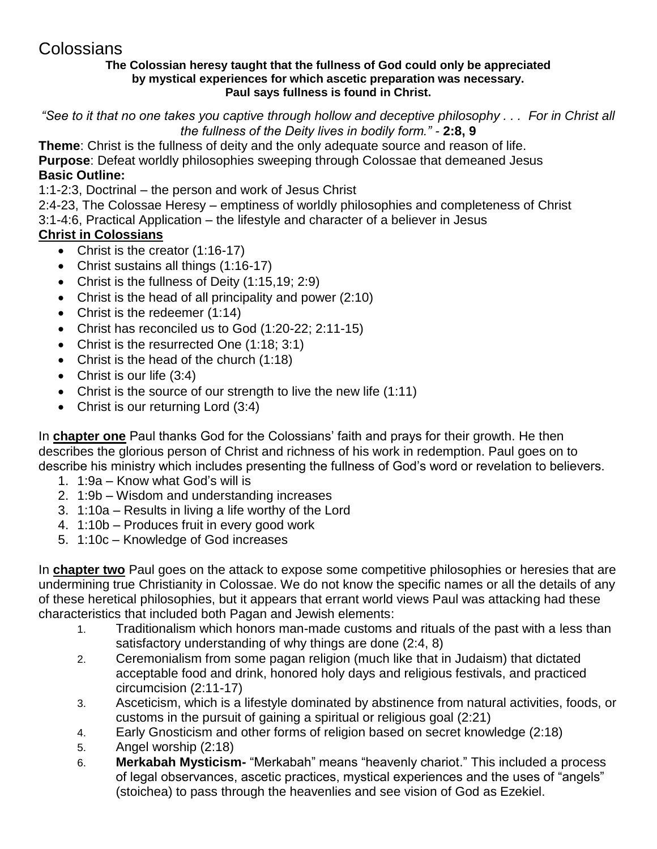# Colossians

#### **The Colossian heresy taught that the fullness of God could only be appreciated by mystical experiences for which ascetic preparation was necessary. Paul says fullness is found in Christ.**

*"See to it that no one takes you captive through hollow and deceptive philosophy . . . For in Christ all the fullness of the Deity lives in bodily form." -* **2:8, 9**

**Theme**: Christ is the fullness of deity and the only adequate source and reason of life. **Purpose**: Defeat worldly philosophies sweeping through Colossae that demeaned Jesus **Basic Outline:**

1:1-2:3, Doctrinal – the person and work of Jesus Christ

2:4-23, The Colossae Heresy – emptiness of worldly philosophies and completeness of Christ 3:1-4:6, Practical Application – the lifestyle and character of a believer in Jesus

## **Christ in Colossians**

- Christ is the creator (1:16-17)
- Christ sustains all things (1:16-17)
- Christ is the fullness of Deity (1:15,19; 2:9)
- Christ is the head of all principality and power (2:10)
- Christ is the redeemer (1:14)
- Christ has reconciled us to God (1:20-22; 2:11-15)
- Christ is the resurrected One (1:18; 3:1)
- Christ is the head of the church (1:18)
- Christ is our life (3:4)
- Christ is the source of our strength to live the new life (1:11)
- Christ is our returning Lord (3:4)

In **chapter one** Paul thanks God for the Colossians' faith and prays for their growth. He then describes the glorious person of Christ and richness of his work in redemption. Paul goes on to describe his ministry which includes presenting the fullness of God's word or revelation to believers.

- 1. 1:9a Know what God's will is
- 2. 1:9b Wisdom and understanding increases
- 3. 1:10a Results in living a life worthy of the Lord
- 4. 1:10b Produces fruit in every good work
- 5. 1:10c Knowledge of God increases

In **chapter two** Paul goes on the attack to expose some competitive philosophies or heresies that are undermining true Christianity in Colossae. We do not know the specific names or all the details of any of these heretical philosophies, but it appears that errant world views Paul was attacking had these characteristics that included both Pagan and Jewish elements:

- 1. Traditionalism which honors man-made customs and rituals of the past with a less than satisfactory understanding of why things are done (2:4, 8)
- 2. Ceremonialism from some pagan religion (much like that in Judaism) that dictated acceptable food and drink, honored holy days and religious festivals, and practiced circumcision (2:11-17)
- 3. Asceticism, which is a lifestyle dominated by abstinence from natural activities, foods, or customs in the pursuit of gaining a spiritual or religious goal (2:21)
- 4. Early Gnosticism and other forms of religion based on secret knowledge (2:18)
- 5. Angel worship (2:18)
- 6. **Merkabah Mysticism-** "Merkabah" means "heavenly chariot." This included a process of legal observances, ascetic practices, mystical experiences and the uses of "angels" (stoichea) to pass through the heavenlies and see vision of God as Ezekiel.